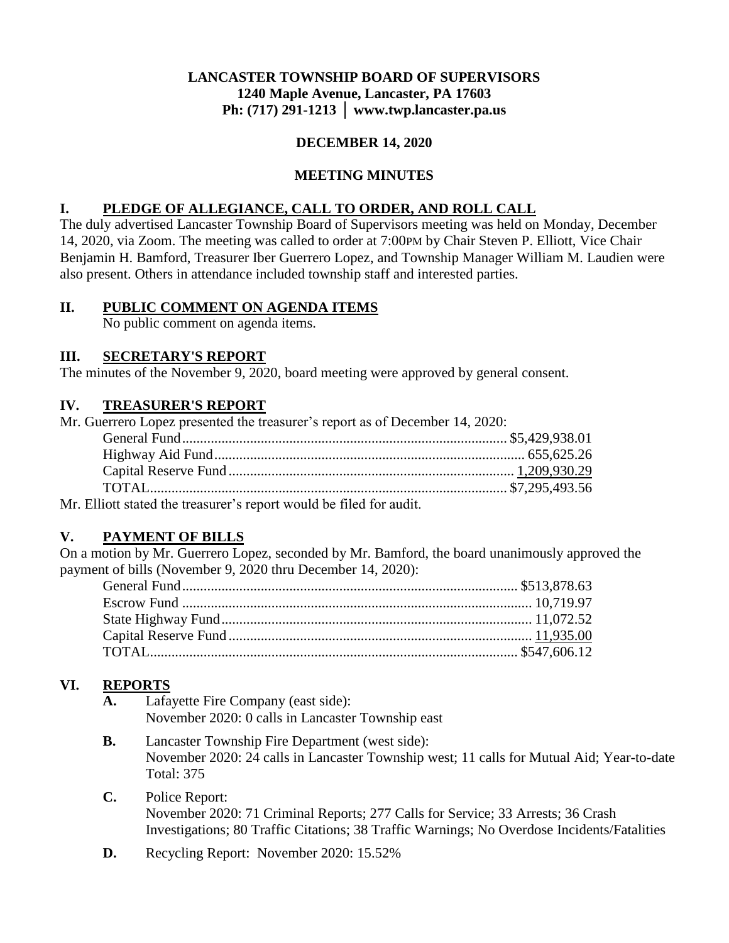### **LANCASTER TOWNSHIP BOARD OF SUPERVISORS 1240 Maple Avenue, Lancaster, PA 17603 Ph: (717) 291-1213 │ www.twp.lancaster.pa.us**

#### **DECEMBER 14, 2020**

### **MEETING MINUTES**

### **I. PLEDGE OF ALLEGIANCE, CALL TO ORDER, AND ROLL CALL**

The duly advertised Lancaster Township Board of Supervisors meeting was held on Monday, December 14, 2020, via Zoom. The meeting was called to order at 7:00PM by Chair Steven P. Elliott, Vice Chair Benjamin H. Bamford, Treasurer Iber Guerrero Lopez, and Township Manager William M. Laudien were also present. Others in attendance included township staff and interested parties.

#### **II. PUBLIC COMMENT ON AGENDA ITEMS**

No public comment on agenda items.

#### **III. SECRETARY'S REPORT**

The minutes of the November 9, 2020, board meeting were approved by general consent.

#### **IV. TREASURER'S REPORT**

| Mr. Guerrero Lopez presented the treasurer's report as of December 14, 2020: |  |
|------------------------------------------------------------------------------|--|
|                                                                              |  |
|                                                                              |  |
|                                                                              |  |
|                                                                              |  |
| Mr. Elliott stated the treasurer's report would be filed for audit           |  |

Mr. Elliott stated the treasurer's report would be filed for audit.

# **V. PAYMENT OF BILLS**

On a motion by Mr. Guerrero Lopez, seconded by Mr. Bamford, the board unanimously approved the payment of bills (November 9, 2020 thru December 14, 2020):

# **VI. REPORTS**

- Lafayette Fire Company (east side): November 2020: 0 calls in Lancaster Township east
- **B.** Lancaster Township Fire Department (west side): November 2020: 24 calls in Lancaster Township west; 11 calls for Mutual Aid; Year-to-date Total: 375

# **C.** Police Report:

November 2020: 71 Criminal Reports; 277 Calls for Service; 33 Arrests; 36 Crash Investigations; 80 Traffic Citations; 38 Traffic Warnings; No Overdose Incidents/Fatalities

**D.** Recycling Report: November 2020: 15.52%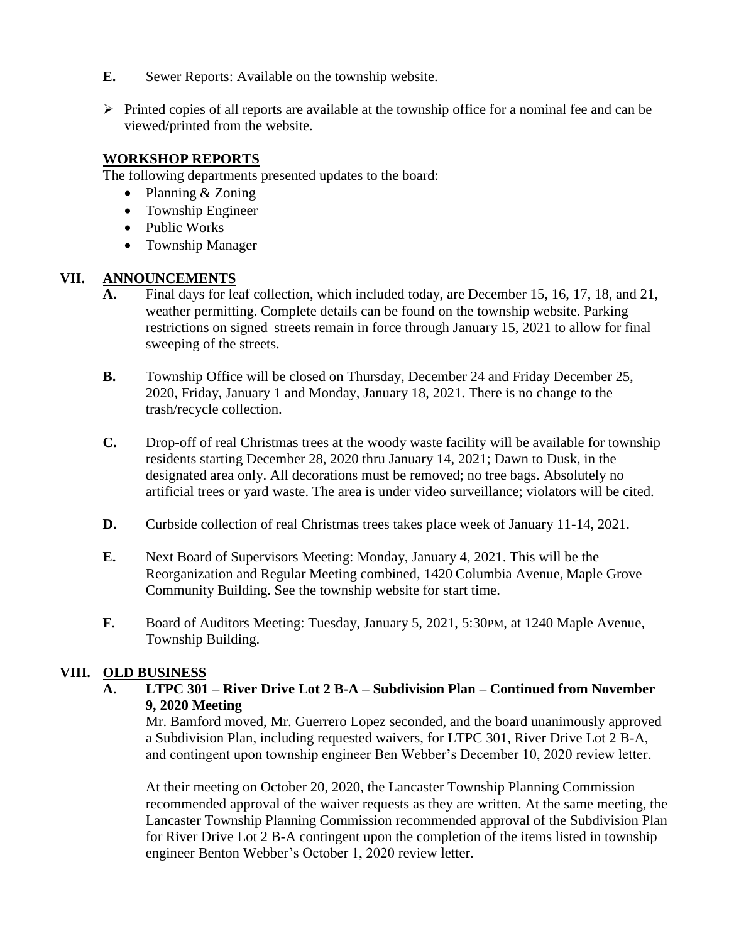- **E.** Sewer Reports: Available on the township website.
- $\triangleright$  Printed copies of all reports are available at the township office for a nominal fee and can be viewed/printed from the website.

# **WORKSHOP REPORTS**

The following departments presented updates to the board:

- Planning & Zoning
- Township Engineer
- Public Works
- Township Manager

# **VII. ANNOUNCEMENTS**

- **A.** Final days for leaf collection, which included today, are December 15, 16, 17, 18, and 21, weather permitting. Complete details can be found on the township website. Parking restrictions on signed streets remain in force through January 15, 2021 to allow for final sweeping of the streets.
- **B.** Township Office will be closed on Thursday, December 24 and Friday December 25, 2020, Friday, January 1 and Monday, January 18, 2021. There is no change to the trash/recycle collection.
- **C.** Drop-off of real Christmas trees at the woody waste facility will be available for township residents starting December 28, 2020 thru January 14, 2021; Dawn to Dusk, in the designated area only. All decorations must be removed; no tree bags. Absolutely no artificial trees or yard waste. The area is under video surveillance; violators will be cited.
- **D.** Curbside collection of real Christmas trees takes place week of January 11-14, 2021.
- **E.** Next Board of Supervisors Meeting: Monday, January 4, 2021. This will be the Reorganization and Regular Meeting combined, 1420 Columbia Avenue, Maple Grove Community Building. See the township website for start time.
- **F.** Board of Auditors Meeting: Tuesday, January 5, 2021, 5:30 PM, at 1240 Maple Avenue, Township Building.

# **VIII. OLD BUSINESS**

**A. LTPC 301 – River Drive Lot 2 B-A – Subdivision Plan – Continued from November 9, 2020 Meeting**

Mr. Bamford moved, Mr. Guerrero Lopez seconded, and the board unanimously approved a Subdivision Plan, including requested waivers, for LTPC 301, River Drive Lot 2 B-A, and contingent upon township engineer Ben Webber's December 10, 2020 review letter.

At their meeting on October 20, 2020, the Lancaster Township Planning Commission recommended approval of the waiver requests as they are written. At the same meeting, the Lancaster Township Planning Commission recommended approval of the Subdivision Plan for River Drive Lot 2 B-A contingent upon the completion of the items listed in township engineer Benton Webber's October 1, 2020 review letter.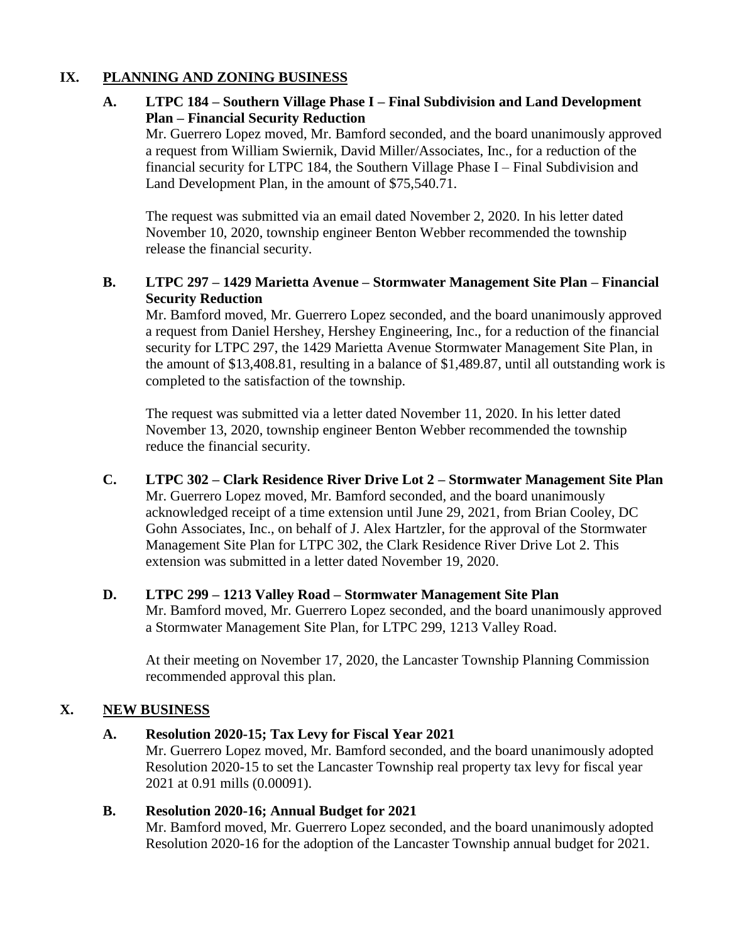#### **IX. PLANNING AND ZONING BUSINESS**

# **A. LTPC 184 – Southern Village Phase I – Final Subdivision and Land Development Plan – Financial Security Reduction**

Mr. Guerrero Lopez moved, Mr. Bamford seconded, and the board unanimously approved a request from William Swiernik, David Miller/Associates, Inc., for a reduction of the financial security for LTPC 184, the Southern Village Phase I – Final Subdivision and Land Development Plan, in the amount of \$75,540.71.

The request was submitted via an email dated November 2, 2020. In his letter dated November 10, 2020, township engineer Benton Webber recommended the township release the financial security.

# **B. LTPC 297 – 1429 Marietta Avenue – Stormwater Management Site Plan – Financial Security Reduction**

Mr. Bamford moved, Mr. Guerrero Lopez seconded, and the board unanimously approved a request from Daniel Hershey, Hershey Engineering, Inc., for a reduction of the financial security for LTPC 297, the 1429 Marietta Avenue Stormwater Management Site Plan, in the amount of \$13,408.81, resulting in a balance of \$1,489.87, until all outstanding work is completed to the satisfaction of the township.

The request was submitted via a letter dated November 11, 2020. In his letter dated November 13, 2020, township engineer Benton Webber recommended the township reduce the financial security.

- **C. LTPC 302 – Clark Residence River Drive Lot 2 – Stormwater Management Site Plan** Mr. Guerrero Lopez moved, Mr. Bamford seconded, and the board unanimously acknowledged receipt of a time extension until June 29, 2021, from Brian Cooley, DC Gohn Associates, Inc., on behalf of J. Alex Hartzler, for the approval of the Stormwater Management Site Plan for LTPC 302, the Clark Residence River Drive Lot 2. This extension was submitted in a letter dated November 19, 2020.
- **D. LTPC 299 – 1213 Valley Road – Stormwater Management Site Plan** Mr. Bamford moved, Mr. Guerrero Lopez seconded, and the board unanimously approved a Stormwater Management Site Plan, for LTPC 299, 1213 Valley Road.

At their meeting on November 17, 2020, the Lancaster Township Planning Commission recommended approval this plan.

# **X. NEW BUSINESS**

# **A. Resolution 2020-15; Tax Levy for Fiscal Year 2021**

Mr. Guerrero Lopez moved, Mr. Bamford seconded, and the board unanimously adopted Resolution 2020-15 to set the Lancaster Township real property tax levy for fiscal year 2021 at 0.91 mills (0.00091).

# **B. Resolution 2020-16; Annual Budget for 2021**

Mr. Bamford moved, Mr. Guerrero Lopez seconded, and the board unanimously adopted Resolution 2020-16 for the adoption of the Lancaster Township annual budget for 2021.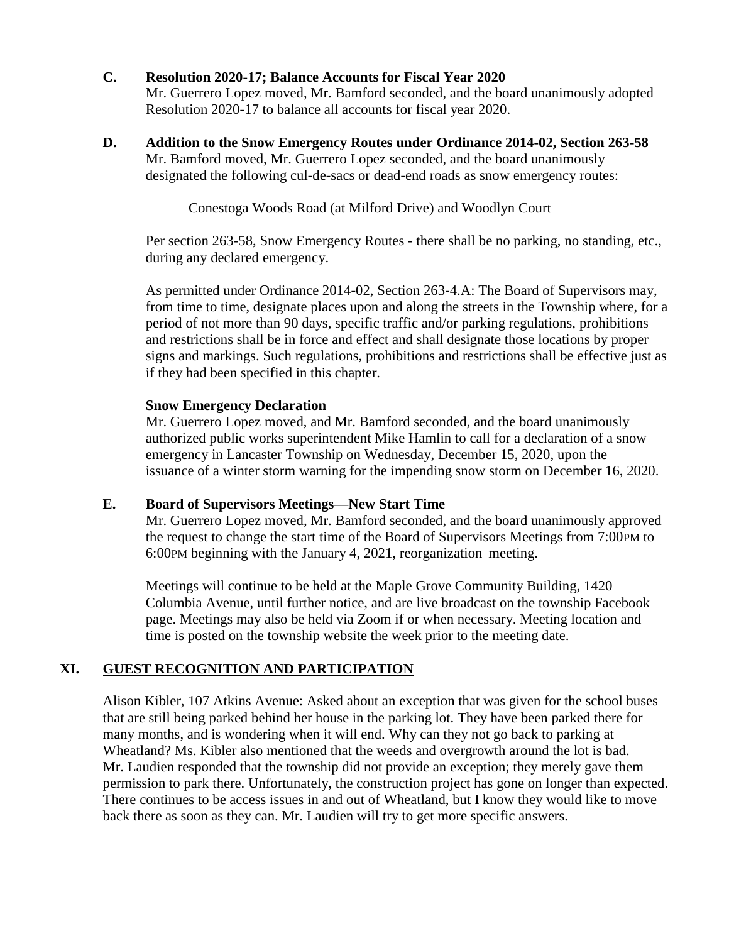#### **C. Resolution 2020-17; Balance Accounts for Fiscal Year 2020**

Mr. Guerrero Lopez moved, Mr. Bamford seconded, and the board unanimously adopted Resolution 2020-17 to balance all accounts for fiscal year 2020.

**D. Addition to the Snow Emergency Routes under Ordinance 2014-02, Section 263-58** Mr. Bamford moved, Mr. Guerrero Lopez seconded, and the board unanimously designated the following cul-de-sacs or dead-end roads as snow emergency routes:

Conestoga Woods Road (at Milford Drive) and Woodlyn Court

Per section 263-58, Snow Emergency Routes - there shall be no parking, no standing, etc., during any declared emergency.

As permitted under Ordinance 2014-02, Section 263-4.A: The Board of Supervisors may, from time to time, designate places upon and along the streets in the Township where, for a period of not more than 90 days, specific traffic and/or parking regulations, prohibitions and restrictions shall be in force and effect and shall designate those locations by proper signs and markings. Such regulations, prohibitions and restrictions shall be effective just as if they had been specified in this chapter.

#### **Snow Emergency Declaration**

Mr. Guerrero Lopez moved, and Mr. Bamford seconded, and the board unanimously authorized public works superintendent Mike Hamlin to call for a declaration of a snow emergency in Lancaster Township on Wednesday, December 15, 2020, upon the issuance of a winter storm warning for the impending snow storm on December 16, 2020.

# **E. Board of Supervisors Meetings—New Start Time**

Mr. Guerrero Lopez moved, Mr. Bamford seconded, and the board unanimously approved the request to change the start time of the Board of Supervisors Meetings from 7:00PM to 6:00PM beginning with the January 4, 2021, reorganization meeting.

Meetings will continue to be held at the Maple Grove Community Building, 1420 Columbia Avenue, until further notice, and are live broadcast on the township Facebook page. Meetings may also be held via Zoom if or when necessary. Meeting location and time is posted on the township website the week prior to the meeting date.

# **XI. GUEST RECOGNITION AND PARTICIPATION**

Alison Kibler, 107 Atkins Avenue: Asked about an exception that was given for the school buses that are still being parked behind her house in the parking lot. They have been parked there for many months, and is wondering when it will end. Why can they not go back to parking at Wheatland? Ms. Kibler also mentioned that the weeds and overgrowth around the lot is bad. Mr. Laudien responded that the township did not provide an exception; they merely gave them permission to park there. Unfortunately, the construction project has gone on longer than expected. There continues to be access issues in and out of Wheatland, but I know they would like to move back there as soon as they can. Mr. Laudien will try to get more specific answers.